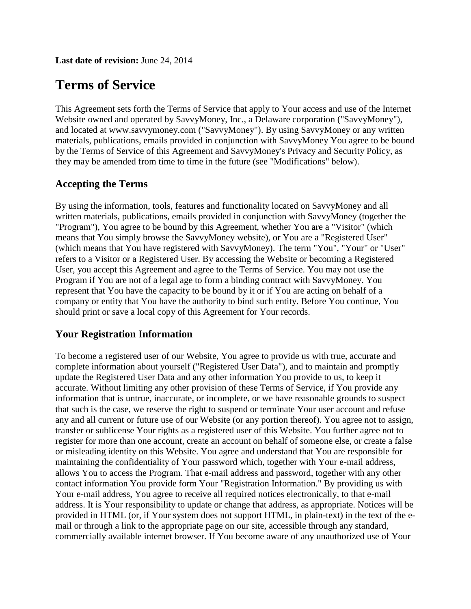**Last date of revision:** June 24, 2014

# **Terms of Service**

This Agreement sets forth the Terms of Service that apply to Your access and use of the Internet Website owned and operated by SavvyMoney, Inc., a Delaware corporation ("SavvyMoney"), and located at www.savvymoney.com ("SavvyMoney"). By using SavvyMoney or any written materials, publications, emails provided in conjunction with SavvyMoney You agree to be bound by the Terms of Service of this Agreement and SavvyMoney's Privacy and Security Policy, as they may be amended from time to time in the future (see "Modifications" below).

## **Accepting the Terms**

By using the information, tools, features and functionality located on SavvyMoney and all written materials, publications, emails provided in conjunction with SavvyMoney (together the "Program"), You agree to be bound by this Agreement, whether You are a "Visitor" (which means that You simply browse the SavvyMoney website), or You are a "Registered User" (which means that You have registered with SavvyMoney). The term "You", "Your" or "User" refers to a Visitor or a Registered User. By accessing the Website or becoming a Registered User, you accept this Agreement and agree to the Terms of Service. You may not use the Program if You are not of a legal age to form a binding contract with SavvyMoney. You represent that You have the capacity to be bound by it or if You are acting on behalf of a company or entity that You have the authority to bind such entity. Before You continue, You should print or save a local copy of this Agreement for Your records.

#### **Your Registration Information**

To become a registered user of our Website, You agree to provide us with true, accurate and complete information about yourself ("Registered User Data"), and to maintain and promptly update the Registered User Data and any other information You provide to us, to keep it accurate. Without limiting any other provision of these Terms of Service, if You provide any information that is untrue, inaccurate, or incomplete, or we have reasonable grounds to suspect that such is the case, we reserve the right to suspend or terminate Your user account and refuse any and all current or future use of our Website (or any portion thereof). You agree not to assign, transfer or sublicense Your rights as a registered user of this Website. You further agree not to register for more than one account, create an account on behalf of someone else, or create a false or misleading identity on this Website. You agree and understand that You are responsible for maintaining the confidentiality of Your password which, together with Your e-mail address, allows You to access the Program. That e-mail address and password, together with any other contact information You provide form Your "Registration Information." By providing us with Your e-mail address, You agree to receive all required notices electronically, to that e-mail address. It is Your responsibility to update or change that address, as appropriate. Notices will be provided in HTML (or, if Your system does not support HTML, in plain-text) in the text of the email or through a link to the appropriate page on our site, accessible through any standard, commercially available internet browser. If You become aware of any unauthorized use of Your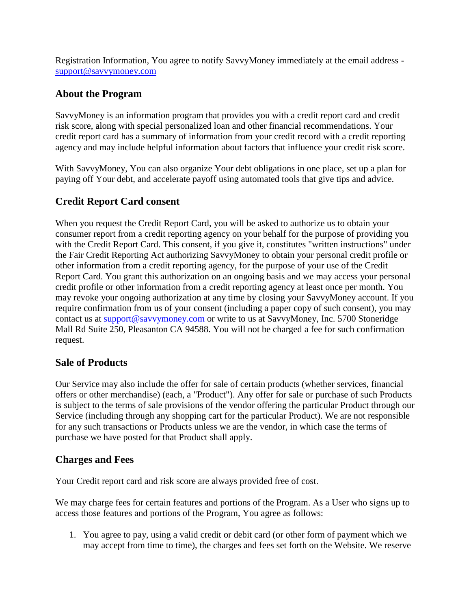Registration Information, You agree to notify SavvyMoney immediately at the email address [support@savvymoney.com](mailto:support@savvymoney.com)

## **About the Program**

SavvyMoney is an information program that provides you with a credit report card and credit risk score, along with special personalized loan and other financial recommendations. Your credit report card has a summary of information from your credit record with a credit reporting agency and may include helpful information about factors that influence your credit risk score.

With SavvyMoney, You can also organize Your debt obligations in one place, set up a plan for paying off Your debt, and accelerate payoff using automated tools that give tips and advice.

## **Credit Report Card consent**

When you request the Credit Report Card, you will be asked to authorize us to obtain your consumer report from a credit reporting agency on your behalf for the purpose of providing you with the Credit Report Card. This consent, if you give it, constitutes "written instructions" under the Fair Credit Reporting Act authorizing SavvyMoney to obtain your personal credit profile or other information from a credit reporting agency, for the purpose of your use of the Credit Report Card. You grant this authorization on an ongoing basis and we may access your personal credit profile or other information from a credit reporting agency at least once per month. You may revoke your ongoing authorization at any time by closing your SavvyMoney account. If you require confirmation from us of your consent (including a paper copy of such consent), you may contact us at **support@savvymoney.com** or write to us at SavvyMoney, Inc. 5700 Stoneridge Mall Rd Suite 250, Pleasanton CA 94588. You will not be charged a fee for such confirmation request.

#### **Sale of Products**

Our Service may also include the offer for sale of certain products (whether services, financial offers or other merchandise) (each, a "Product"). Any offer for sale or purchase of such Products is subject to the terms of sale provisions of the vendor offering the particular Product through our Service (including through any shopping cart for the particular Product). We are not responsible for any such transactions or Products unless we are the vendor, in which case the terms of purchase we have posted for that Product shall apply.

#### **Charges and Fees**

Your Credit report card and risk score are always provided free of cost.

We may charge fees for certain features and portions of the Program. As a User who signs up to access those features and portions of the Program, You agree as follows:

1. You agree to pay, using a valid credit or debit card (or other form of payment which we may accept from time to time), the charges and fees set forth on the Website. We reserve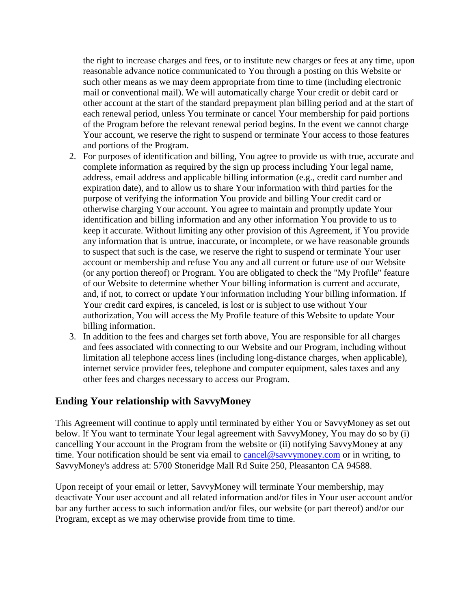the right to increase charges and fees, or to institute new charges or fees at any time, upon reasonable advance notice communicated to You through a posting on this Website or such other means as we may deem appropriate from time to time (including electronic mail or conventional mail). We will automatically charge Your credit or debit card or other account at the start of the standard prepayment plan billing period and at the start of each renewal period, unless You terminate or cancel Your membership for paid portions of the Program before the relevant renewal period begins. In the event we cannot charge Your account, we reserve the right to suspend or terminate Your access to those features and portions of the Program.

- 2. For purposes of identification and billing, You agree to provide us with true, accurate and complete information as required by the sign up process including Your legal name, address, email address and applicable billing information (e.g., credit card number and expiration date), and to allow us to share Your information with third parties for the purpose of verifying the information You provide and billing Your credit card or otherwise charging Your account. You agree to maintain and promptly update Your identification and billing information and any other information You provide to us to keep it accurate. Without limiting any other provision of this Agreement, if You provide any information that is untrue, inaccurate, or incomplete, or we have reasonable grounds to suspect that such is the case, we reserve the right to suspend or terminate Your user account or membership and refuse You any and all current or future use of our Website (or any portion thereof) or Program. You are obligated to check the "My Profile" feature of our Website to determine whether Your billing information is current and accurate, and, if not, to correct or update Your information including Your billing information. If Your credit card expires, is canceled, is lost or is subject to use without Your authorization, You will access the My Profile feature of this Website to update Your billing information.
- 3. In addition to the fees and charges set forth above, You are responsible for all charges and fees associated with connecting to our Website and our Program, including without limitation all telephone access lines (including long-distance charges, when applicable), internet service provider fees, telephone and computer equipment, sales taxes and any other fees and charges necessary to access our Program.

## **Ending Your relationship with SavvyMoney**

This Agreement will continue to apply until terminated by either You or SavvyMoney as set out below. If You want to terminate Your legal agreement with SavvyMoney, You may do so by (i) cancelling Your account in the Program from the website or (ii) notifying SavvyMoney at any time. Your notification should be sent via email to [cancel@savvymoney.com](mailto:cancel@savvymoney.com) or in writing, to SavvyMoney's address at: 5700 Stoneridge Mall Rd Suite 250, Pleasanton CA 94588.

Upon receipt of your email or letter, SavvyMoney will terminate Your membership, may deactivate Your user account and all related information and/or files in Your user account and/or bar any further access to such information and/or files, our website (or part thereof) and/or our Program, except as we may otherwise provide from time to time.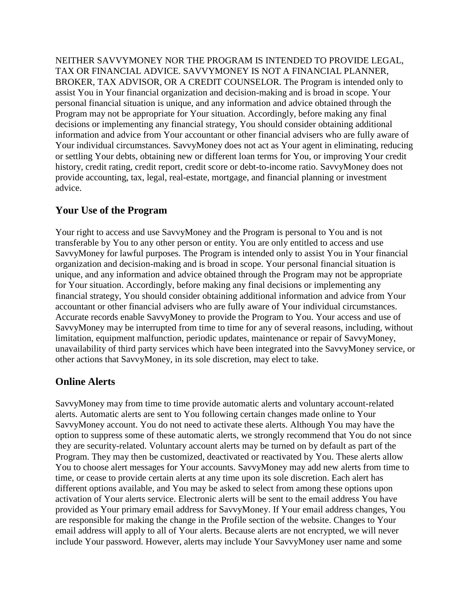NEITHER SAVVYMONEY NOR THE PROGRAM IS INTENDED TO PROVIDE LEGAL, TAX OR FINANCIAL ADVICE. SAVVYMONEY IS NOT A FINANCIAL PLANNER, BROKER, TAX ADVISOR, OR A CREDIT COUNSELOR. The Program is intended only to assist You in Your financial organization and decision-making and is broad in scope. Your personal financial situation is unique, and any information and advice obtained through the Program may not be appropriate for Your situation. Accordingly, before making any final decisions or implementing any financial strategy, You should consider obtaining additional information and advice from Your accountant or other financial advisers who are fully aware of Your individual circumstances. SavvyMoney does not act as Your agent in eliminating, reducing or settling Your debts, obtaining new or different loan terms for You, or improving Your credit history, credit rating, credit report, credit score or debt-to-income ratio. SavvyMoney does not provide accounting, tax, legal, real-estate, mortgage, and financial planning or investment advice.

## **Your Use of the Program**

Your right to access and use SavvyMoney and the Program is personal to You and is not transferable by You to any other person or entity. You are only entitled to access and use SavvyMoney for lawful purposes. The Program is intended only to assist You in Your financial organization and decision-making and is broad in scope. Your personal financial situation is unique, and any information and advice obtained through the Program may not be appropriate for Your situation. Accordingly, before making any final decisions or implementing any financial strategy, You should consider obtaining additional information and advice from Your accountant or other financial advisers who are fully aware of Your individual circumstances. Accurate records enable SavvyMoney to provide the Program to You. Your access and use of SavvyMoney may be interrupted from time to time for any of several reasons, including, without limitation, equipment malfunction, periodic updates, maintenance or repair of SavvyMoney, unavailability of third party services which have been integrated into the SavvyMoney service, or other actions that SavvyMoney, in its sole discretion, may elect to take.

#### **Online Alerts**

SavvyMoney may from time to time provide automatic alerts and voluntary account-related alerts. Automatic alerts are sent to You following certain changes made online to Your SavvyMoney account. You do not need to activate these alerts. Although You may have the option to suppress some of these automatic alerts, we strongly recommend that You do not since they are security-related. Voluntary account alerts may be turned on by default as part of the Program. They may then be customized, deactivated or reactivated by You. These alerts allow You to choose alert messages for Your accounts. SavvyMoney may add new alerts from time to time, or cease to provide certain alerts at any time upon its sole discretion. Each alert has different options available, and You may be asked to select from among these options upon activation of Your alerts service. Electronic alerts will be sent to the email address You have provided as Your primary email address for SavvyMoney. If Your email address changes, You are responsible for making the change in the Profile section of the website. Changes to Your email address will apply to all of Your alerts. Because alerts are not encrypted, we will never include Your password. However, alerts may include Your SavvyMoney user name and some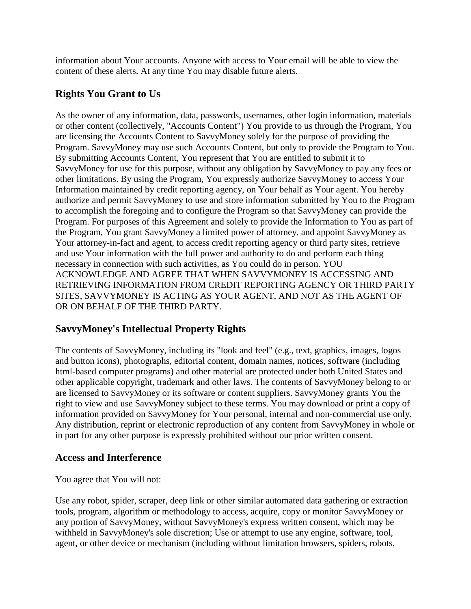information about Your accounts. Anyone with access to Your email will be able to view the content of these alerts. At any time You may disable future alerts.

## **Rights You Grant to Us**

As the owner of any information, data, passwords, usernames, other login information, materials or other content (collectively, "Accounts Content") You provide to us through the Program, You are licensing the Accounts Content to SavvyMoney solely for the purpose of providing the Program. SavvyMoney may use such Accounts Content, but only to provide the Program to You. By submitting Accounts Content, You represent that You are entitled to submit it to SavvyMoney for use for this purpose, without any obligation by SavvyMoney to pay any fees or other limitations. By using the Program, You expressly authorize SavvyMoney to access Your Information maintained by credit reporting agency, on Your behalf as Your agent. You hereby authorize and permit SavvyMoney to use and store information submitted by You to the Program to accomplish the foregoing and to configure the Program so that SavvyMoney can provide the Program. For purposes of this Agreement and solely to provide the Information to You as part of the Program, You grant SavvyMoney a limited power of attorney, and appoint SavvyMoney as Your attorney-in-fact and agent, to access credit reporting agency or third party sites, retrieve and use Your information with the full power and authority to do and perform each thing necessary in connection with such activities, as You could do in person. YOU ACKNOWLEDGE AND AGREE THAT WHEN SAVVYMONEY IS ACCESSING AND RETRIEVING INFORMATION FROM CREDIT REPORTING AGENCY OR THIRD PARTY SITES, SAVVYMONEY IS ACTING AS YOUR AGENT, AND NOT AS THE AGENT OF OR ON BEHALF OF THE THIRD PARTY.

## **SavvyMoney's Intellectual Property Rights**

The contents of SavvyMoney, including its "look and feel" (e.g., text, graphics, images, logos and button icons), photographs, editorial content, domain names, notices, software (including html-based computer programs) and other material are protected under both United States and other applicable copyright, trademark and other laws. The contents of SavvyMoney belong to or are licensed to SavvyMoney or its software or content suppliers. SavvyMoney grants You the right to view and use SavvyMoney subject to these terms. You may download or print a copy of information provided on SavvyMoney for Your personal, internal and non-commercial use only. Any distribution, reprint or electronic reproduction of any content from SavvyMoney in whole or in part for any other purpose is expressly prohibited without our prior written consent.

#### **Access and Interference**

You agree that You will not:

Use any robot, spider, scraper, deep link or other similar automated data gathering or extraction tools, program, algorithm or methodology to access, acquire, copy or monitor SavvyMoney or any portion of SavvyMoney, without SavvyMoney's express written consent, which may be withheld in SavvyMoney's sole discretion; Use or attempt to use any engine, software, tool, agent, or other device or mechanism (including without limitation browsers, spiders, robots,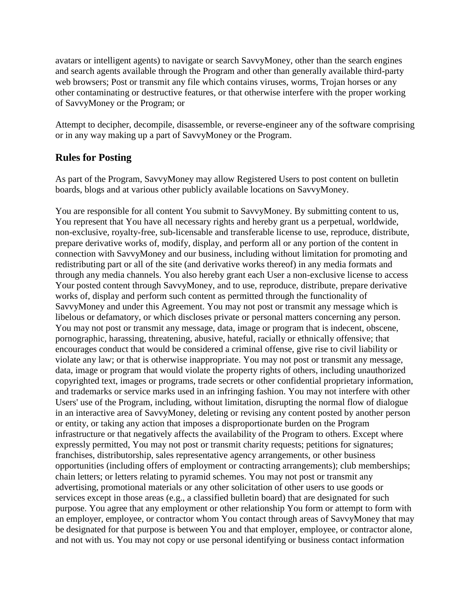avatars or intelligent agents) to navigate or search SavvyMoney, other than the search engines and search agents available through the Program and other than generally available third-party web browsers; Post or transmit any file which contains viruses, worms, Trojan horses or any other contaminating or destructive features, or that otherwise interfere with the proper working of SavvyMoney or the Program; or

Attempt to decipher, decompile, disassemble, or reverse-engineer any of the software comprising or in any way making up a part of SavvyMoney or the Program.

## **Rules for Posting**

As part of the Program, SavvyMoney may allow Registered Users to post content on bulletin boards, blogs and at various other publicly available locations on SavvyMoney.

You are responsible for all content You submit to SavvyMoney. By submitting content to us, You represent that You have all necessary rights and hereby grant us a perpetual, worldwide, non-exclusive, royalty-free, sub-licensable and transferable license to use, reproduce, distribute, prepare derivative works of, modify, display, and perform all or any portion of the content in connection with SavvyMoney and our business, including without limitation for promoting and redistributing part or all of the site (and derivative works thereof) in any media formats and through any media channels. You also hereby grant each User a non-exclusive license to access Your posted content through SavvyMoney, and to use, reproduce, distribute, prepare derivative works of, display and perform such content as permitted through the functionality of SavvyMoney and under this Agreement. You may not post or transmit any message which is libelous or defamatory, or which discloses private or personal matters concerning any person. You may not post or transmit any message, data, image or program that is indecent, obscene, pornographic, harassing, threatening, abusive, hateful, racially or ethnically offensive; that encourages conduct that would be considered a criminal offense, give rise to civil liability or violate any law; or that is otherwise inappropriate. You may not post or transmit any message, data, image or program that would violate the property rights of others, including unauthorized copyrighted text, images or programs, trade secrets or other confidential proprietary information, and trademarks or service marks used in an infringing fashion. You may not interfere with other Users' use of the Program, including, without limitation, disrupting the normal flow of dialogue in an interactive area of SavvyMoney, deleting or revising any content posted by another person or entity, or taking any action that imposes a disproportionate burden on the Program infrastructure or that negatively affects the availability of the Program to others. Except where expressly permitted, You may not post or transmit charity requests; petitions for signatures; franchises, distributorship, sales representative agency arrangements, or other business opportunities (including offers of employment or contracting arrangements); club memberships; chain letters; or letters relating to pyramid schemes. You may not post or transmit any advertising, promotional materials or any other solicitation of other users to use goods or services except in those areas (e.g., a classified bulletin board) that are designated for such purpose. You agree that any employment or other relationship You form or attempt to form with an employer, employee, or contractor whom You contact through areas of SavvyMoney that may be designated for that purpose is between You and that employer, employee, or contractor alone, and not with us. You may not copy or use personal identifying or business contact information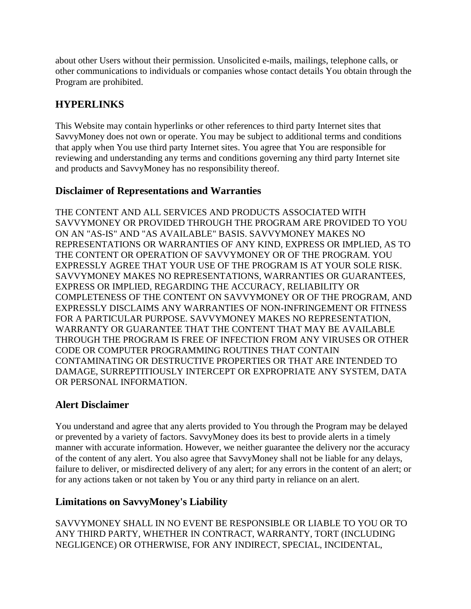about other Users without their permission. Unsolicited e-mails, mailings, telephone calls, or other communications to individuals or companies whose contact details You obtain through the Program are prohibited.

## **HYPERLINKS**

This Website may contain hyperlinks or other references to third party Internet sites that SavvyMoney does not own or operate. You may be subject to additional terms and conditions that apply when You use third party Internet sites. You agree that You are responsible for reviewing and understanding any terms and conditions governing any third party Internet site and products and SavvyMoney has no responsibility thereof.

## **Disclaimer of Representations and Warranties**

THE CONTENT AND ALL SERVICES AND PRODUCTS ASSOCIATED WITH SAVVYMONEY OR PROVIDED THROUGH THE PROGRAM ARE PROVIDED TO YOU ON AN "AS-IS" AND "AS AVAILABLE" BASIS. SAVVYMONEY MAKES NO REPRESENTATIONS OR WARRANTIES OF ANY KIND, EXPRESS OR IMPLIED, AS TO THE CONTENT OR OPERATION OF SAVVYMONEY OR OF THE PROGRAM. YOU EXPRESSLY AGREE THAT YOUR USE OF THE PROGRAM IS AT YOUR SOLE RISK. SAVVYMONEY MAKES NO REPRESENTATIONS, WARRANTIES OR GUARANTEES, EXPRESS OR IMPLIED, REGARDING THE ACCURACY, RELIABILITY OR COMPLETENESS OF THE CONTENT ON SAVVYMONEY OR OF THE PROGRAM, AND EXPRESSLY DISCLAIMS ANY WARRANTIES OF NON-INFRINGEMENT OR FITNESS FOR A PARTICULAR PURPOSE. SAVVYMONEY MAKES NO REPRESENTATION, WARRANTY OR GUARANTEE THAT THE CONTENT THAT MAY BE AVAILABLE THROUGH THE PROGRAM IS FREE OF INFECTION FROM ANY VIRUSES OR OTHER CODE OR COMPUTER PROGRAMMING ROUTINES THAT CONTAIN CONTAMINATING OR DESTRUCTIVE PROPERTIES OR THAT ARE INTENDED TO DAMAGE, SURREPTITIOUSLY INTERCEPT OR EXPROPRIATE ANY SYSTEM, DATA OR PERSONAL INFORMATION.

## **Alert Disclaimer**

You understand and agree that any alerts provided to You through the Program may be delayed or prevented by a variety of factors. SavvyMoney does its best to provide alerts in a timely manner with accurate information. However, we neither guarantee the delivery nor the accuracy of the content of any alert. You also agree that SavvyMoney shall not be liable for any delays, failure to deliver, or misdirected delivery of any alert; for any errors in the content of an alert; or for any actions taken or not taken by You or any third party in reliance on an alert.

## **Limitations on SavvyMoney's Liability**

SAVVYMONEY SHALL IN NO EVENT BE RESPONSIBLE OR LIABLE TO YOU OR TO ANY THIRD PARTY, WHETHER IN CONTRACT, WARRANTY, TORT (INCLUDING NEGLIGENCE) OR OTHERWISE, FOR ANY INDIRECT, SPECIAL, INCIDENTAL,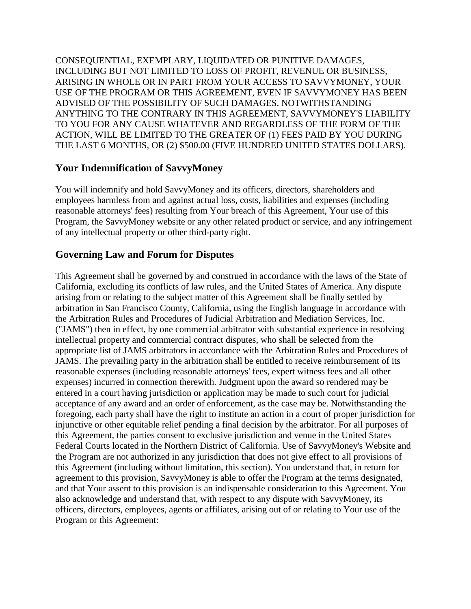CONSEQUENTIAL, EXEMPLARY, LIQUIDATED OR PUNITIVE DAMAGES, INCLUDING BUT NOT LIMITED TO LOSS OF PROFIT, REVENUE OR BUSINESS, ARISING IN WHOLE OR IN PART FROM YOUR ACCESS TO SAVVYMONEY, YOUR USE OF THE PROGRAM OR THIS AGREEMENT, EVEN IF SAVVYMONEY HAS BEEN ADVISED OF THE POSSIBILITY OF SUCH DAMAGES. NOTWITHSTANDING ANYTHING TO THE CONTRARY IN THIS AGREEMENT, SAVVYMONEY'S LIABILITY TO YOU FOR ANY CAUSE WHATEVER AND REGARDLESS OF THE FORM OF THE ACTION, WILL BE LIMITED TO THE GREATER OF (1) FEES PAID BY YOU DURING THE LAST 6 MONTHS, OR (2) \$500.00 (FIVE HUNDRED UNITED STATES DOLLARS).

#### **Your Indemnification of SavvyMoney**

You will indemnify and hold SavvyMoney and its officers, directors, shareholders and employees harmless from and against actual loss, costs, liabilities and expenses (including reasonable attorneys' fees) resulting from Your breach of this Agreement, Your use of this Program, the SavvyMoney website or any other related product or service, and any infringement of any intellectual property or other third-party right.

#### **Governing Law and Forum for Disputes**

This Agreement shall be governed by and construed in accordance with the laws of the State of California, excluding its conflicts of law rules, and the United States of America. Any dispute arising from or relating to the subject matter of this Agreement shall be finally settled by arbitration in San Francisco County, California, using the English language in accordance with the Arbitration Rules and Procedures of Judicial Arbitration and Mediation Services, Inc. ("JAMS") then in effect, by one commercial arbitrator with substantial experience in resolving intellectual property and commercial contract disputes, who shall be selected from the appropriate list of JAMS arbitrators in accordance with the Arbitration Rules and Procedures of JAMS. The prevailing party in the arbitration shall be entitled to receive reimbursement of its reasonable expenses (including reasonable attorneys' fees, expert witness fees and all other expenses) incurred in connection therewith. Judgment upon the award so rendered may be entered in a court having jurisdiction or application may be made to such court for judicial acceptance of any award and an order of enforcement, as the case may be. Notwithstanding the foregoing, each party shall have the right to institute an action in a court of proper jurisdiction for injunctive or other equitable relief pending a final decision by the arbitrator. For all purposes of this Agreement, the parties consent to exclusive jurisdiction and venue in the United States Federal Courts located in the Northern District of California. Use of SavvyMoney's Website and the Program are not authorized in any jurisdiction that does not give effect to all provisions of this Agreement (including without limitation, this section). You understand that, in return for agreement to this provision, SavvyMoney is able to offer the Program at the terms designated, and that Your assent to this provision is an indispensable consideration to this Agreement. You also acknowledge and understand that, with respect to any dispute with SavvyMoney, its officers, directors, employees, agents or affiliates, arising out of or relating to Your use of the Program or this Agreement: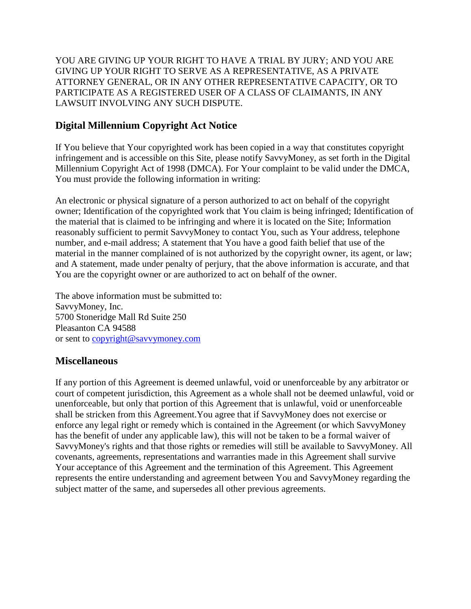YOU ARE GIVING UP YOUR RIGHT TO HAVE A TRIAL BY JURY; AND YOU ARE GIVING UP YOUR RIGHT TO SERVE AS A REPRESENTATIVE, AS A PRIVATE ATTORNEY GENERAL, OR IN ANY OTHER REPRESENTATIVE CAPACITY, OR TO PARTICIPATE AS A REGISTERED USER OF A CLASS OF CLAIMANTS, IN ANY LAWSUIT INVOLVING ANY SUCH DISPUTE.

## **Digital Millennium Copyright Act Notice**

If You believe that Your copyrighted work has been copied in a way that constitutes copyright infringement and is accessible on this Site, please notify SavvyMoney, as set forth in the Digital Millennium Copyright Act of 1998 (DMCA). For Your complaint to be valid under the DMCA, You must provide the following information in writing:

An electronic or physical signature of a person authorized to act on behalf of the copyright owner; Identification of the copyrighted work that You claim is being infringed; Identification of the material that is claimed to be infringing and where it is located on the Site; Information reasonably sufficient to permit SavvyMoney to contact You, such as Your address, telephone number, and e-mail address; A statement that You have a good faith belief that use of the material in the manner complained of is not authorized by the copyright owner, its agent, or law; and A statement, made under penalty of perjury, that the above information is accurate, and that You are the copyright owner or are authorized to act on behalf of the owner.

The above information must be submitted to: SavvyMoney, Inc. 5700 Stoneridge Mall Rd Suite 250 Pleasanton CA 94588 or sent to [copyright@savvymoney.com](mailto:copyright@savvymoney.com)

#### **Miscellaneous**

If any portion of this Agreement is deemed unlawful, void or unenforceable by any arbitrator or court of competent jurisdiction, this Agreement as a whole shall not be deemed unlawful, void or unenforceable, but only that portion of this Agreement that is unlawful, void or unenforceable shall be stricken from this Agreement.You agree that if SavvyMoney does not exercise or enforce any legal right or remedy which is contained in the Agreement (or which SavvyMoney has the benefit of under any applicable law), this will not be taken to be a formal waiver of SavvyMoney's rights and that those rights or remedies will still be available to SavvyMoney. All covenants, agreements, representations and warranties made in this Agreement shall survive Your acceptance of this Agreement and the termination of this Agreement. This Agreement represents the entire understanding and agreement between You and SavvyMoney regarding the subject matter of the same, and supersedes all other previous agreements.